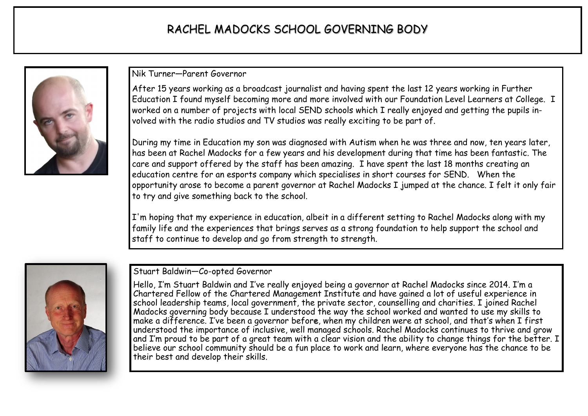## RACHEL MADOCKS SCHOOL GOVERNING BODY



Nik Turner—Parent Governor

After 15 years working as a broadcast journalist and having spent the last 12 years working in Further Education I found myself becoming more and more involved with our Foundation Level Learners at College. I worked on a number of projects with local SEND schools which I really enjoyed and getting the pupils involved with the radio studios and TV studios was really exciting to be part of.

During my time in Education my son was diagnosed with Autism when he was three and now, ten years later, has been at Rachel Madocks for a few years and his development during that time has been fantastic. The care and support offered by the staff has been amazing. I have spent the last 18 months creating an education centre for an esports company which specialises in short courses for SEND. When the opportunity arose to become a parent governor at Rachel Madocks I jumped at the chance. I felt it only fair to try and give something back to the school.

I'm hoping that my experience in education, albeit in a different setting to Rachel Madocks along with my family life and the experiences that brings serves as a strong foundation to help support the school and staff to continue to develop and go from strength to strength.



## Stuart Baldwin—Co-opted Governor

Hello, I'm Stuart Baldwin and I've really enjoyed being a governor at Rachel Madocks since 2014. I'm a Chartered Fellow of the Chartered Management Institute and have gained a lot of useful experience in school leadership teams, local government, the private sector, counselling and charities. I joined Rachel Madocks governing body because I understood the way the school worked and wanted to use my skills to make a difference. I've been a governor before, when my children were at school, and that's when I first understood the importance of inclusive, well managed schools. Rachel Madocks continues to thrive and grow and I'm proud to be part of a great team with a clear vision and the ability to change things for the better. I believe our school community should be a fun place to work and learn, where everyone has the chance to be their best and develop their skills.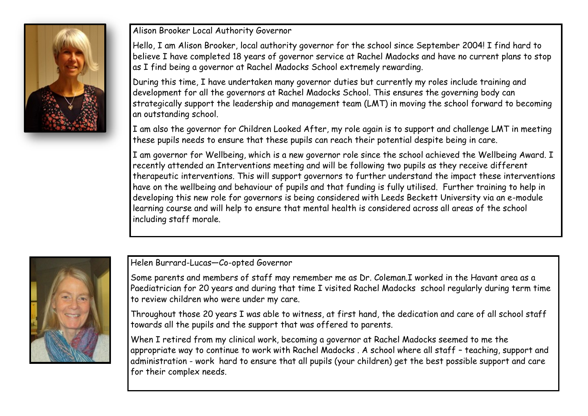

Alison Brooker Local Authority Governor

Hello, I am Alison Brooker, local authority governor for the school since September 2004! I find hard to believe I have completed 18 years of governor service at Rachel Madocks and have no current plans to stop as I find being a governor at Rachel Madocks School extremely rewarding.

During this time, I have undertaken many governor duties but currently my roles include training and development for all the governors at Rachel Madocks School. This ensures the governing body can strategically support the leadership and management team (LMT) in moving the school forward to becoming an outstanding school.

I am also the governor for Children Looked After, my role again is to support and challenge LMT in meeting these pupils needs to ensure that these pupils can reach their potential despite being in care.

I am governor for Wellbeing, which is a new governor role since the school achieved the Wellbeing Award. I recently attended an Interventions meeting and will be following two pupils as they receive different therapeutic interventions. This will support governors to further understand the impact these interventions have on the wellbeing and behaviour of pupils and that funding is fully utilised. Further training to help in developing this new role for governors is being considered with Leeds Beckett University via an e-module learning course and will help to ensure that mental health is considered across all areas of the school including staff morale.



Helen Burrard-Lucas—Co-opted Governor

Some parents and members of staff may remember me as Dr. Coleman.I worked in the Havant area as a Paediatrician for 20 years and during that time I visited Rachel Madocks school regularly during term time to review children who were under my care.

Throughout those 20 years I was able to witness, at first hand, the dedication and care of all school staff towards all the pupils and the support that was offered to parents.

When I retired from my clinical work, becoming a governor at Rachel Madocks seemed to me the appropriate way to continue to work with Rachel Madocks . A school where all staff – teaching, support and administration - work hard to ensure that all pupils (your children) get the best possible support and care for their complex needs.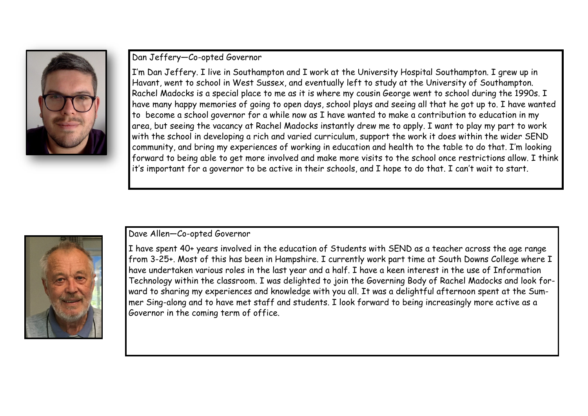

## Dan Jeffery—Co-opted Governor

I'm Dan Jeffery. I live in Southampton and I work at the University Hospital Southampton. I grew up in Havant, went to school in West Sussex, and eventually left to study at the University of Southampton. Rachel Madocks is a special place to me as it is where my cousin George went to school during the 1990s. I have many happy memories of going to open days, school plays and seeing all that he got up to. I have wanted to become a school governor for a while now as I have wanted to make a contribution to education in my area, but seeing the vacancy at Rachel Madocks instantly drew me to apply. I want to play my part to work with the school in developing a rich and varied curriculum, support the work it does within the wider SEND community, and bring my experiences of working in education and health to the table to do that. I'm looking forward to being able to get more involved and make more visits to the school once restrictions allow. I think it's important for a governor to be active in their schools, and I hope to do that. I can't wait to start.



## Dave Allen—Co-opted Governor

I have spent 40+ years involved in the education of Students with SEND as a teacher across the age range from 3-25+. Most of this has been in Hampshire. I currently work part time at South Downs College where I have undertaken various roles in the last year and a half. I have a keen interest in the use of Information Technology within the classroom. I was delighted to join the Governing Body of Rachel Madocks and look forward to sharing my experiences and knowledge with you all. It was a delightful afternoon spent at the Summer Sing-along and to have met staff and students. I look forward to being increasingly more active as a Governor in the coming term of office.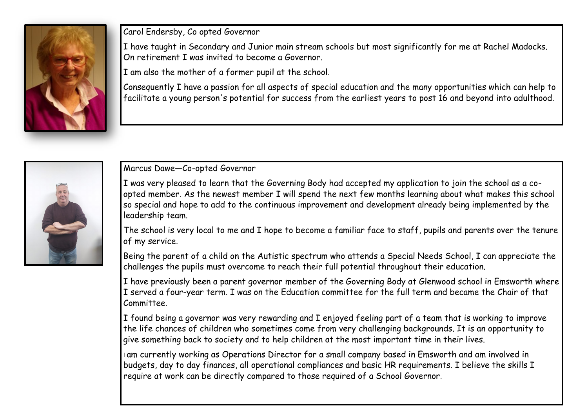

Carol Endersby, Co opted Governor

I have taught in Secondary and Junior main stream schools but most significantly for me at Rachel Madocks. On retirement I was invited to become a Governor.

I am also the mother of a former pupil at the school.

Consequently I have a passion for all aspects of special education and the many opportunities which can help to facilitate a young person's potential for success from the earliest years to post 16 and beyond into adulthood.



Marcus Dawe—Co-opted Governor

I was very pleased to learn that the Governing Body had accepted my application to join the school as a coopted member. As the newest member I will spend the next few months learning about what makes this school so special and hope to add to the continuous improvement and development already being implemented by the leadership team.

The school is very local to me and I hope to become a familiar face to staff, pupils and parents over the tenure of my service.

Being the parent of a child on the Autistic spectrum who attends a Special Needs School, I can appreciate the challenges the pupils must overcome to reach their full potential throughout their education.

I have previously been a parent governor member of the Governing Body at Glenwood school in Emsworth where I served a four-year term. I was on the Education committee for the full term and became the Chair of that Committee.

I found being a governor was very rewarding and I enjoyed feeling part of a team that is working to improve the life chances of children who sometimes come from very challenging backgrounds. It is an opportunity to give something back to society and to help children at the most important time in their lives.

I am currently working as Operations Director for a small company based in Emsworth and am involved in budgets, day to day finances, all operational compliances and basic HR requirements. I believe the skills I require at work can be directly compared to those required of a School Governor.